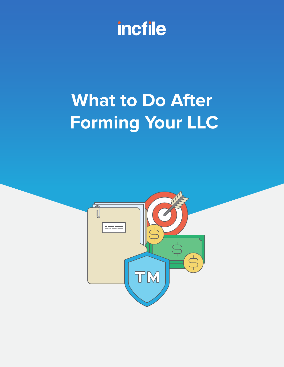

# **What to Do After Forming Your LLC**

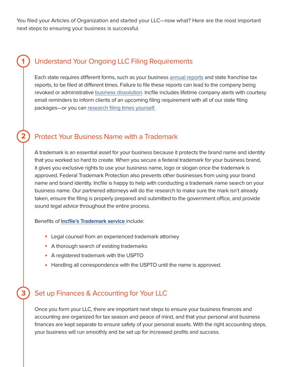You filed your Articles of Organization and started your LLC—now what? Here are the most important next steps to ensuring your business is successful.

## Understand Your Ongoing LLC Filing Requirements

Each state requires different forms, such as your business [annual reports](https://www.incfile.com/manage-your-company/annual-report/) and state franchise tax reports, to be filed at different times. Failure to file these reports can lead to the company being revoked or administrative [business dissolution](https://www.incfile.com/manage-your-company/dissolution/). Incfile includes lifetime company alerts with courtesy email reminders to inform clients of an upcoming filing requirement with all of our state filing packages—or you can [research filing times yourself.](https://www.incfile.com/compliance-filing-requirement/)

## Protect Your Business Name with a Trademark

**2**

**1**

A trademark is an essential asset for your business because it protects the brand name and identity that you worked so hard to create. When you secure a federal trademark for your business brand, it gives you exclusive rights to use your business name, logo or slogan once the trademark is approved. Federal Trademark Protection also prevents other businesses from using your brand name and brand identity. Incfile is happy to help with conducting a trademark name search on your business name. Our partnered attorneys will do the research to make sure the mark isn't already taken, ensure the filing is properly prepared and submitted to the government office, and provide sound legal advice throughout the entire process.

Benefits of **[Incfile's Trademark service](https://www.incfile.com/trademark-name-search/)** include:

- Legal counsel from an experienced trademark attorney
- A thorough search of existing trademarks
- A registered trademark with the USPTO
- Handling all correspondence with the USPTO until the name is approved.

#### Set up Finances & Accounting for Your LLC **3**

Once you form your LLC, there are important next steps to ensure your business finances and accounting are organized for tax season and peace of mind, and that your personal and business finances are kept separate to ensure safety of your personal assets. With the right accounting steps, your business will run smoothly and be set up for increased profits and success.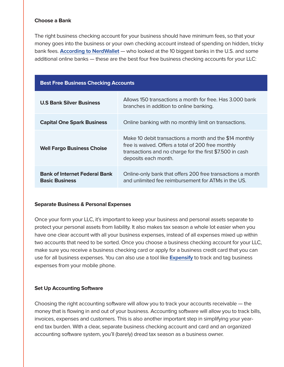### **Choose a Bank**

The right business checking account for your business should have minimum fees, so that your money goes into the business or your own checking account instead of spending on hidden, tricky bank fees. **[According to NerdWallet](https://www.nerdwallet.com/blog/banking/best-free-business-checking-accounts/)** — who looked at the 10 biggest banks in the U.S. and some additional online banks — these are the best four free business checking accounts for your LLC:

| <b>Best Free Business Checking Accounts</b>                   |                                                                                                                                                                                                   |
|---------------------------------------------------------------|---------------------------------------------------------------------------------------------------------------------------------------------------------------------------------------------------|
| <b>U.S Bank Silver Business</b>                               | Allows 150 transactions a month for free. Has 3,000 bank<br>branches in addition to online banking.                                                                                               |
| <b>Capital One Spark Business</b>                             | Online banking with no monthly limit on transactions.                                                                                                                                             |
| <b>Well Fargo Business Choise</b>                             | Make 10 debit transactions a month and the \$14 monthly<br>free is waived. Offers a total of 200 free monthly<br>transactions and no charge for the first \$7.500 in cash<br>deposits each month. |
| <b>Bank of Internet Federal Bank</b><br><b>Basic Business</b> | Online-only bank that offers 200 free transactions a month<br>and unlimited fee reimbursement for ATMs in the US.                                                                                 |

#### **Separate Business & Personal Expenses**

Once your form your LLC, it's important to keep your business and personal assets separate to protect your personal assets from liability. It also makes tax season a whole lot easier when you have one clear account with all your business expenses, instead of all expenses mixed up within two accounts that need to be sorted. Once you choose a business checking account for your LLC, make sure you receive a business checking card or apply for a business credit card that you can use for all business expenses. You can also use a tool like **[Expensify](https://www.expensify.com/)** to track and tag business expenses from your mobile phone.

#### **Set Up Accounting Software**

Choosing the right accounting software will allow you to track your accounts receivable — the money that is flowing in and out of your business. Accounting software will allow you to track bills, invoices, expenses and customers. This is also another important step in simplifying your yearend tax burden. With a clear, separate business checking account and card and an organized accounting software system, you'll (barely) dread tax season as a business owner.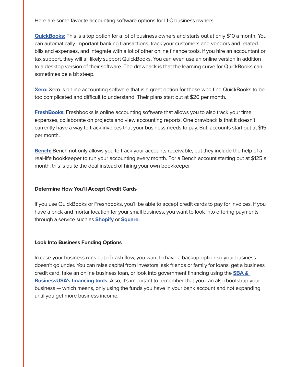Here are some favorite accounting software options for LLC business owners:

**[QuickBooks:](https://quickbooks.intuit.com/oa/selfemployed/?utm_source=oaqbse_aff&utm_medium=aff&utm_content=priorityCode=3969702399&cid=aff_cj_7898336&cvosrc=affiliate.cj.7898336&cvo_campaign=qbo_trial&priorityCode=3969702399&aid=12170614)** This is a top option for a lot of business owners and starts out at only \$10 a month. You can automatically important banking transactions, track your customers and vendors and related bills and expenses, and integrate with a lot of other online finance tools. If you hire an accountant or tax support, they will all likely support QuickBooks. You can even use an online version in addition to a desktop version of their software. The drawback is that the learning curve for QuickBooks can sometimes be a bit steep.

**[Xero:](https://www.xero.com/ph/)** Xero is online accounting software that is a great option for those who find QuickBooks to be too complicated and difficult to understand. Their plans start out at \$20 per month.

**[FreshBooks:](https://www.freshbooks.com/?ref=10400&utm_source=sas&utm_medium=affiliate&utm_campaign=938781)** Freshbooks is online accounting software that allows you to also track your time, expenses, collaborate on projects and view accounting reports. One drawback is that it doesn't currently have a way to track invoices that your business needs to pay. But, accounts start out at \$15 per month.

**[Bench:](https://bench.co/)** Bench not only allows you to track your accounts receivable, but they include the help of a real-life bookkeeper to run your accounting every month. For a Bench account starting out at \$125 a month, this is quite the deal instead of hiring your own bookkeeper.

#### **Determine How You'll Accept Credit Cards**

If you use QuickBooks or Freshbooks, you'll be able to accept credit cards to pay for invoices. If you have a brick and mortar location for your small business, you want to look into offering payments through a service such as **[Shopify](https://www.shopify.com/)** or **[Square.](https://squareup.com/us/en)**

#### **Look Into Business Funding Options**

In case your business runs out of cash flow, you want to have a backup option so your business doesn't go under. You can raise capital from investors, ask friends or family for loans, get a business credit card, take an online business loan, or look into government financing using the **[SBA &](https://www.sba.gov/node/13710)  [BusinessUSA's financing tools.](https://www.sba.gov/node/13710)** Also, it's important to remember that you can also bootstrap your business — which means, only using the funds you have in your bank account and not expanding until you get more business income.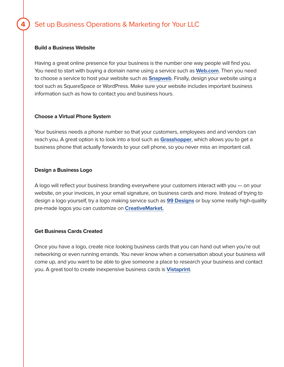## Set up Business Operations & Marketing for Your LLC

#### **Build a Business Website**

**4**

Having a great online presence for your business is the number one way people will find you. You need to start with buying a domain name using a service such as **[Web.com](https://incfile.web.com/business-email/?trkID=PTNd237b3W)**. Then you need to choose a service to host your website such as **[Snapweb](https://snapweb.com/website-voucher-discount/?ref=INCFILE)**. Finally, design your website using a tool such as SquareSpace or WordPress. Make sure your website includes important business information such as how to contact you and business hours.

#### **Choose a Virtual Phone System**

Your business needs a phone number so that your customers, employees and and vendors can reach you. A great option is to look into a tool such as **[Grasshopper](https://grasshopper.com/?clickid=WI4VLQyQKxyJWwwwUx0Mo3w2UklW0MzhcQ4P200&irgwc=1&utm_source=Impact&utm_medium=Affiliate&utm_campaign=503375)**, which allows you to get a business phone that actually forwards to your cell phone, so you never miss an important call.

#### **Design a Business Logo**

A logo will reflect your business branding everywhere your customers interact with you — on your website, on your invoices, in your email signature, on business cards and more. Instead of trying to design a logo yourself, try a logo making service such as **[99 Designs](https://99designs.com/)** or buy some really high-quality pre-made logos you can customize on **[CreativeMarket.](https://creativemarket.com/)**

#### **Get Business Cards Created**

Once you have a logo, create nice looking business cards that you can hand out when you're out networking or even running errands. You never know when a conversation about your business will come up, and you want to be able to give someone a place to research your business and contact you. A great tool to create inexpensive business cards is **[Vistaprint](https://www.vistaprint.com/business-cards?txi=15626&xnid=TopNav_Business+Cards&xnav=TopNav&rd=1&GP=07%2f01%2f2019+10%3a42%3a23&GPS=5418958310&GNF=0)**.